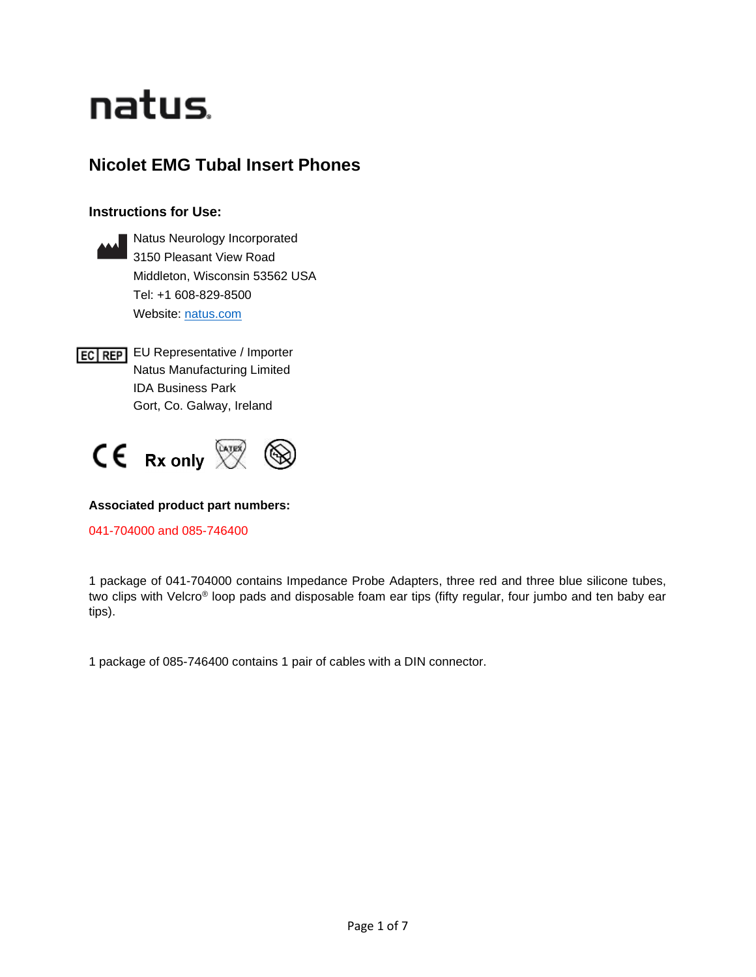# natus.

## **Nicolet EMG Tubal Insert Phones**

## **Instructions for Use:**



**EC REP** EU Representative / Importer Natus Manufacturing Limited IDA Business Park Gort, Co. Galway, Ireland



## **Associated product part numbers:**

041-704000 and 085-746400

1 package of 041-704000 contains Impedance Probe Adapters, three red and three blue silicone tubes, two clips with Velcro® loop pads and disposable foam ear tips (fifty regular, four jumbo and ten baby ear tips).

1 package of 085-746400 contains 1 pair of cables with a DIN connector.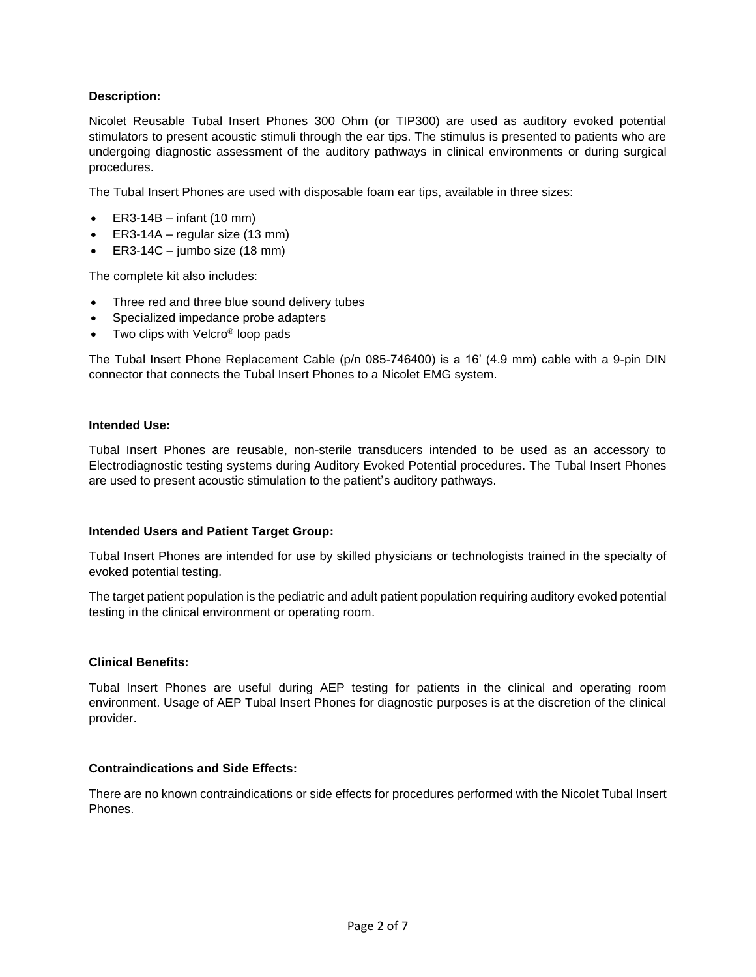## **Description:**

Nicolet Reusable Tubal Insert Phones 300 Ohm (or TIP300) are used as auditory evoked potential stimulators to present acoustic stimuli through the ear tips. The stimulus is presented to patients who are undergoing diagnostic assessment of the auditory pathways in clinical environments or during surgical procedures.

The Tubal Insert Phones are used with disposable foam ear tips, available in three sizes:

- ER3-14B infant (10 mm)
- ER3-14A regular size (13 mm)
- ER3-14C jumbo size  $(18 \text{ mm})$

The complete kit also includes:

- Three red and three blue sound delivery tubes
- Specialized impedance probe adapters
- Two clips with Velcro<sup>®</sup> loop pads

The Tubal Insert Phone Replacement Cable (p/n 085-746400) is a 16' (4.9 mm) cable with a 9-pin DIN connector that connects the Tubal Insert Phones to a Nicolet EMG system.

#### **Intended Use:**

Tubal Insert Phones are reusable, non-sterile transducers intended to be used as an accessory to Electrodiagnostic testing systems during Auditory Evoked Potential procedures. The Tubal Insert Phones are used to present acoustic stimulation to the patient's auditory pathways.

#### **Intended Users and Patient Target Group:**

Tubal Insert Phones are intended for use by skilled physicians or technologists trained in the specialty of evoked potential testing.

The target patient population is the pediatric and adult patient population requiring auditory evoked potential testing in the clinical environment or operating room.

#### **Clinical Benefits:**

Tubal Insert Phones are useful during AEP testing for patients in the clinical and operating room environment. Usage of AEP Tubal Insert Phones for diagnostic purposes is at the discretion of the clinical provider.

#### **Contraindications and Side Effects:**

There are no known contraindications or side effects for procedures performed with the Nicolet Tubal Insert Phones.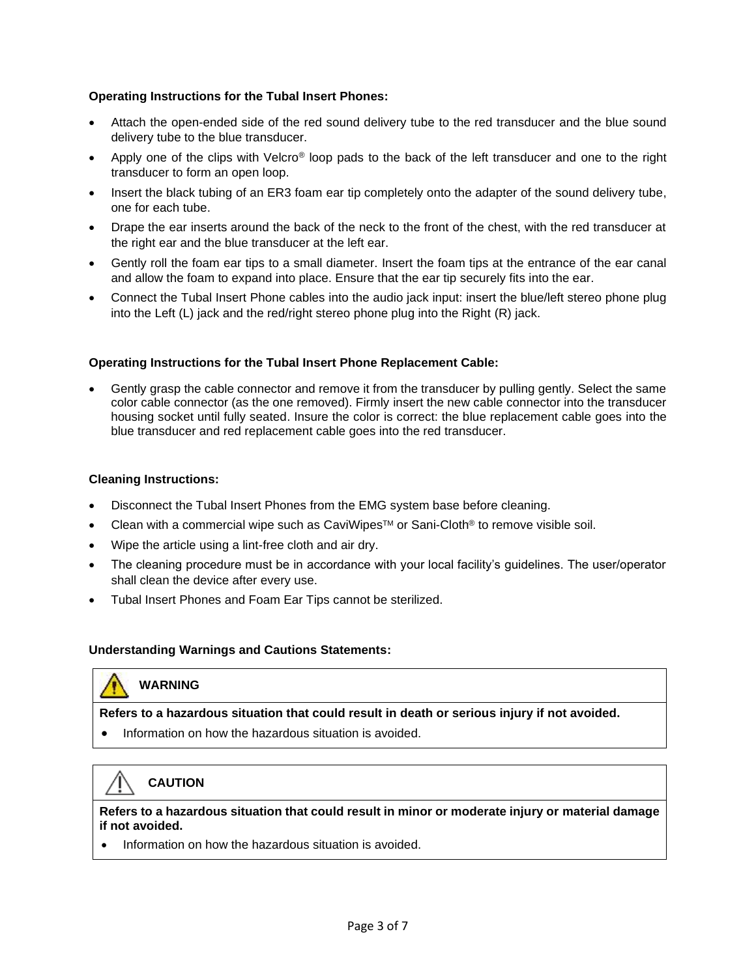## **Operating Instructions for the Tubal Insert Phones:**

- Attach the open-ended side of the red sound delivery tube to the red transducer and the blue sound delivery tube to the blue transducer.
- Apply one of the clips with Velcro® loop pads to the back of the left transducer and one to the right transducer to form an open loop.
- Insert the black tubing of an ER3 foam ear tip completely onto the adapter of the sound delivery tube, one for each tube.
- Drape the ear inserts around the back of the neck to the front of the chest, with the red transducer at the right ear and the blue transducer at the left ear.
- Gently roll the foam ear tips to a small diameter. Insert the foam tips at the entrance of the ear canal and allow the foam to expand into place. Ensure that the ear tip securely fits into the ear.
- Connect the Tubal Insert Phone cables into the audio jack input: insert the blue/left stereo phone plug into the Left (L) jack and the red/right stereo phone plug into the Right (R) jack.

## **Operating Instructions for the Tubal Insert Phone Replacement Cable:**

• Gently grasp the cable connector and remove it from the transducer by pulling gently. Select the same color cable connector (as the one removed). Firmly insert the new cable connector into the transducer housing socket until fully seated. Insure the color is correct: the blue replacement cable goes into the blue transducer and red replacement cable goes into the red transducer.

#### **Cleaning Instructions:**

- Disconnect the Tubal Insert Phones from the EMG system base before cleaning.
- Clean with a commercial wipe such as CaviWipes<sup>TM</sup> or Sani-Cloth<sup>®</sup> to remove visible soil.
- Wipe the article using a lint-free cloth and air dry.
- The cleaning procedure must be in accordance with your local facility's guidelines. The user/operator shall clean the device after every use.
- Tubal Insert Phones and Foam Ear Tips cannot be sterilized.

## **Understanding Warnings and Cautions Statements:**

## **WARNING**

**Refers to a hazardous situation that could result in death or serious injury if not avoided.** 

• Information on how the hazardous situation is avoided.

## **CAUTION**

**Refers to a hazardous situation that could result in minor or moderate injury or material damage if not avoided.**

• Information on how the hazardous situation is avoided.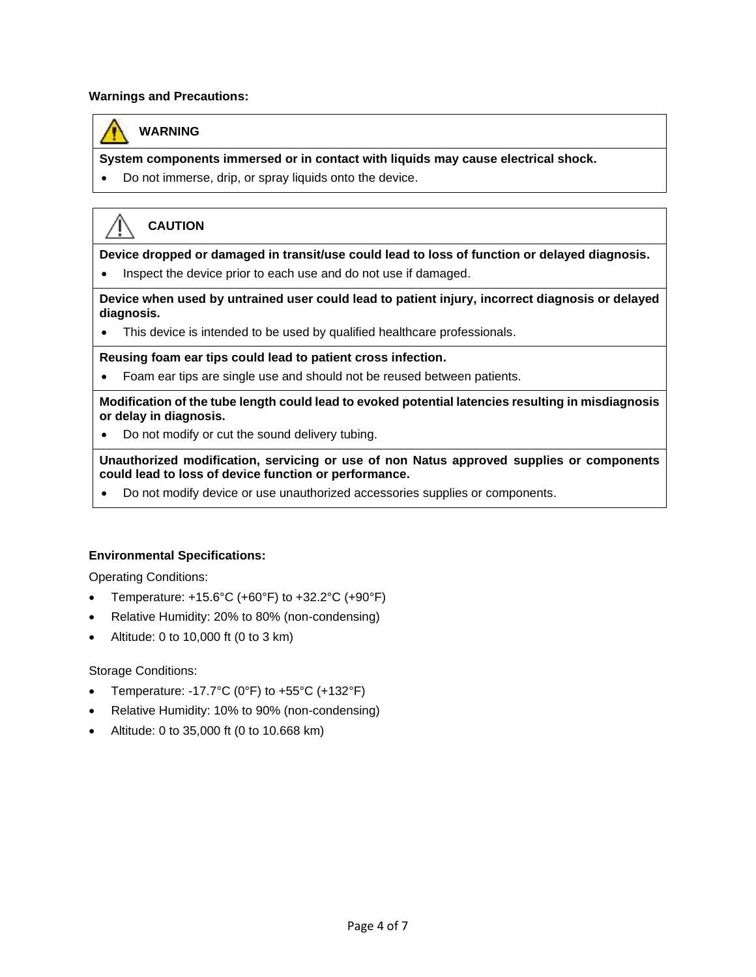## **Warnings and Precautions:**



## **WARNING**

**System components immersed or in contact with liquids may cause electrical shock.**

• Do not immerse, drip, or spray liquids onto the device.

## **CAUTION**

**Device dropped or damaged in transit/use could lead to loss of function or delayed diagnosis.**

• Inspect the device prior to each use and do not use if damaged.

**Device when used by untrained user could lead to patient injury, incorrect diagnosis or delayed diagnosis.**

• This device is intended to be used by qualified healthcare professionals.

## **Reusing foam ear tips could lead to patient cross infection.**

• Foam ear tips are single use and should not be reused between patients.

**Modification of the tube length could lead to evoked potential latencies resulting in misdiagnosis or delay in diagnosis.**

• Do not modify or cut the sound delivery tubing.

**Unauthorized modification, servicing or use of non Natus approved supplies or components could lead to loss of device function or performance.**

• Do not modify device or use unauthorized accessories supplies or components.

## **Environmental Specifications:**

Operating Conditions:

- Temperature: +15.6°C (+60°F) to +32.2°C (+90°F)
- Relative Humidity: 20% to 80% (non-condensing)
- Altitude: 0 to 10,000 ft (0 to 3 km)

Storage Conditions:

- Temperature: -17.7°C (0°F) to  $+55$ °C (+132°F)
- Relative Humidity: 10% to 90% (non-condensing)
- Altitude: 0 to 35,000 ft (0 to 10.668 km)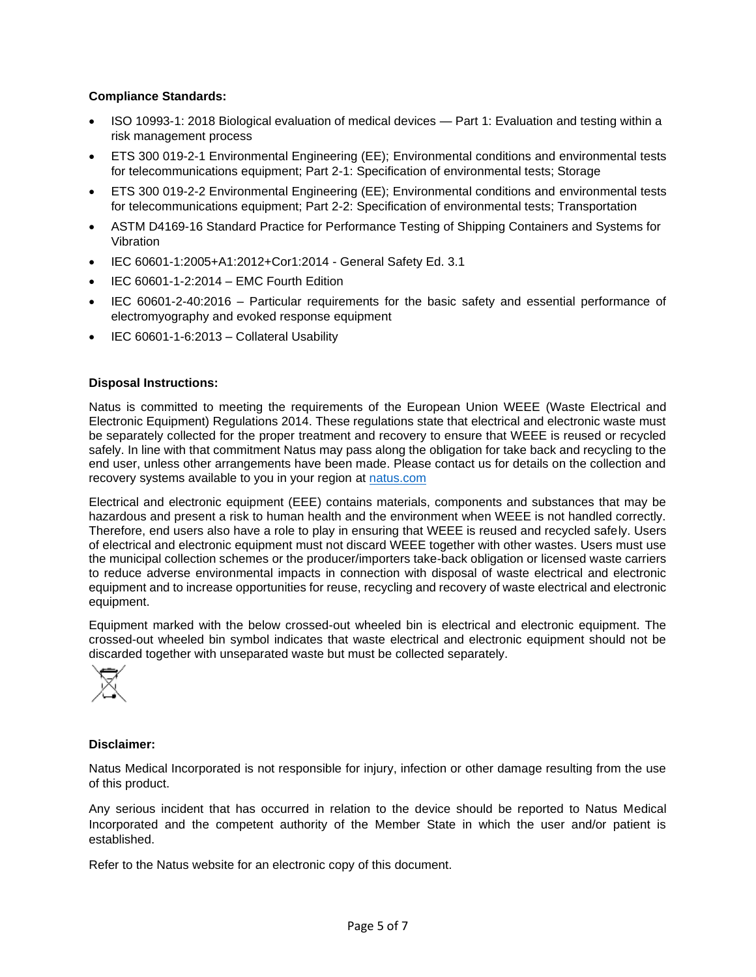## **Compliance Standards:**

- ISO 10993-1: 2018 Biological evaluation of medical devices Part 1: Evaluation and testing within a risk management process
- ETS 300 019-2-1 Environmental Engineering (EE); Environmental conditions and environmental tests for telecommunications equipment; Part 2-1: Specification of environmental tests; Storage
- ETS 300 019-2-2 Environmental Engineering (EE); Environmental conditions and environmental tests for telecommunications equipment; Part 2-2: Specification of environmental tests; Transportation
- ASTM D4169-16 Standard Practice for Performance Testing of Shipping Containers and Systems for Vibration
- IEC 60601-1:2005+A1:2012+Cor1:2014 General Safety Ed. 3.1
- IEC 60601-1-2:2014 EMC Fourth Edition
- IEC 60601-2-40:2016 Particular requirements for the basic safety and essential performance of electromyography and evoked response equipment
- IEC 60601-1-6:2013 Collateral Usability

## **Disposal Instructions:**

Natus is committed to meeting the requirements of the European Union WEEE (Waste Electrical and Electronic Equipment) Regulations 2014. These regulations state that electrical and electronic waste must be separately collected for the proper treatment and recovery to ensure that WEEE is reused or recycled safely. In line with that commitment Natus may pass along the obligation for take back and recycling to the end user, unless other arrangements have been made. Please contact us for details on the collection and recovery systems available to you in your region at [natus.com](https://natus.com/)

Electrical and electronic equipment (EEE) contains materials, components and substances that may be hazardous and present a risk to human health and the environment when WEEE is not handled correctly. Therefore, end users also have a role to play in ensuring that WEEE is reused and recycled safely. Users of electrical and electronic equipment must not discard WEEE together with other wastes. Users must use the municipal collection schemes or the producer/importers take-back obligation or licensed waste carriers to reduce adverse environmental impacts in connection with disposal of waste electrical and electronic equipment and to increase opportunities for reuse, recycling and recovery of waste electrical and electronic equipment.

Equipment marked with the below crossed-out wheeled bin is electrical and electronic equipment. The crossed-out wheeled bin symbol indicates that waste electrical and electronic equipment should not be discarded together with unseparated waste but must be collected separately.



#### **Disclaimer:**

Natus Medical Incorporated is not responsible for injury, infection or other damage resulting from the use of this product.

Any serious incident that has occurred in relation to the device should be reported to Natus Medical Incorporated and the competent authority of the Member State in which the user and/or patient is established.

Refer to the Natus website for an electronic copy of this document.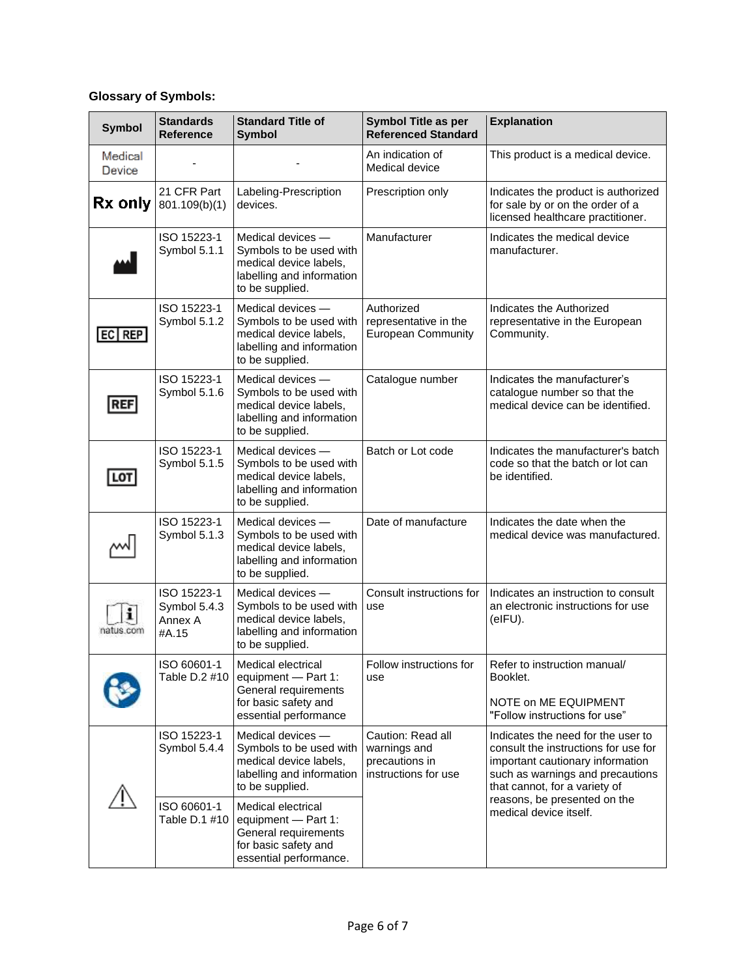## **Glossary of Symbols:**

| <b>Symbol</b>     | <b>Standards</b><br><b>Reference</b>            | <b>Standard Title of</b><br><b>Symbol</b>                                                                              | <b>Symbol Title as per</b><br><b>Referenced Standard</b>                    | <b>Explanation</b>                                                                                                                                                                                                                            |
|-------------------|-------------------------------------------------|------------------------------------------------------------------------------------------------------------------------|-----------------------------------------------------------------------------|-----------------------------------------------------------------------------------------------------------------------------------------------------------------------------------------------------------------------------------------------|
| Medical<br>Device |                                                 |                                                                                                                        | An indication of<br>Medical device                                          | This product is a medical device.                                                                                                                                                                                                             |
| Rx only           | 21 CFR Part<br>801.109(b)(1)                    | Labeling-Prescription<br>devices.                                                                                      | Prescription only                                                           | Indicates the product is authorized<br>for sale by or on the order of a<br>licensed healthcare practitioner.                                                                                                                                  |
|                   | ISO 15223-1<br>Symbol 5.1.1                     | Medical devices -<br>Symbols to be used with<br>medical device labels,<br>labelling and information<br>to be supplied. | Manufacturer                                                                | Indicates the medical device<br>manufacturer.                                                                                                                                                                                                 |
| EC REP            | ISO 15223-1<br>Symbol 5.1.2                     | Medical devices -<br>Symbols to be used with<br>medical device labels,<br>labelling and information<br>to be supplied. | Authorized<br>representative in the<br><b>European Community</b>            | Indicates the Authorized<br>representative in the European<br>Community.                                                                                                                                                                      |
| <b>REF</b>        | ISO 15223-1<br>Symbol 5.1.6                     | Medical devices -<br>Symbols to be used with<br>medical device labels,<br>labelling and information<br>to be supplied. | Catalogue number                                                            | Indicates the manufacturer's<br>catalogue number so that the<br>medical device can be identified.                                                                                                                                             |
| LOT               | ISO 15223-1<br>Symbol 5.1.5                     | Medical devices -<br>Symbols to be used with<br>medical device labels,<br>labelling and information<br>to be supplied. | Batch or Lot code                                                           | Indicates the manufacturer's batch<br>code so that the batch or lot can<br>be identified.                                                                                                                                                     |
|                   | ISO 15223-1<br>Symbol 5.1.3                     | Medical devices -<br>Symbols to be used with<br>medical device labels,<br>labelling and information<br>to be supplied. | Date of manufacture                                                         | Indicates the date when the<br>medical device was manufactured.                                                                                                                                                                               |
| natus.com         | ISO 15223-1<br>Symbol 5.4.3<br>Annex A<br>#A.15 | Medical devices -<br>Symbols to be used with<br>medical device labels,<br>labelling and information<br>to be supplied. | Consult instructions for<br>use                                             | Indicates an instruction to consult<br>an electronic instructions for use<br>(eIFU).                                                                                                                                                          |
|                   | ISO 60601-1<br>Table D.2 #10                    | Medical electrical<br>equipment - Part 1:<br>General requirements<br>for basic safety and<br>essential performance     | Follow instructions for<br>use                                              | Refer to instruction manual/<br>Booklet.<br>NOTE on ME EQUIPMENT<br>"Follow instructions for use"                                                                                                                                             |
|                   | ISO 15223-1<br>Symbol 5.4.4                     | Medical devices -<br>Symbols to be used with<br>medical device labels,<br>labelling and information<br>to be supplied. | Caution: Read all<br>warnings and<br>precautions in<br>instructions for use | Indicates the need for the user to<br>consult the instructions for use for<br>important cautionary information<br>such as warnings and precautions<br>that cannot, for a variety of<br>reasons, be presented on the<br>medical device itself. |
|                   | ISO 60601-1<br>Table D.1 #10                    | Medical electrical<br>equipment - Part 1:<br>General requirements<br>for basic safety and<br>essential performance.    |                                                                             |                                                                                                                                                                                                                                               |